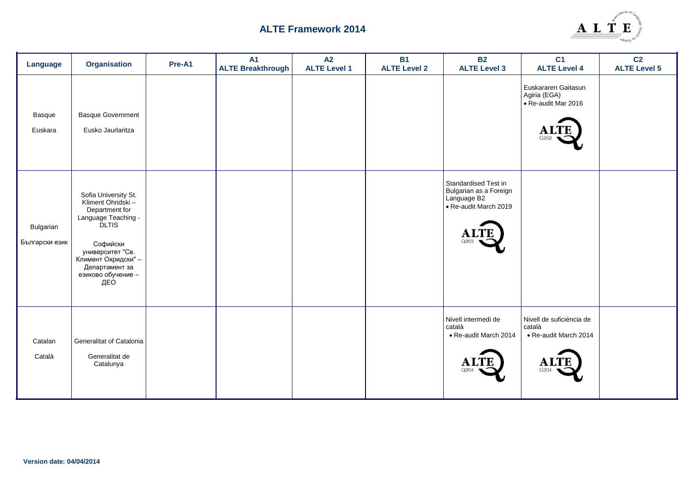

| Language                    | <b>Organisation</b>                                                                                                                                                                                       | Pre-A1 | <b>A1</b><br><b>ALTE Breakthrough</b> | A2<br><b>ALTE Level 1</b> | <b>B1</b><br><b>ALTE Level 2</b> | <b>B2</b><br><b>ALTE Level 3</b>                                                       | C <sub>1</sub><br><b>ALTE Level 4</b>                               | C <sub>2</sub><br><b>ALTE Level 5</b> |
|-----------------------------|-----------------------------------------------------------------------------------------------------------------------------------------------------------------------------------------------------------|--------|---------------------------------------|---------------------------|----------------------------------|----------------------------------------------------------------------------------------|---------------------------------------------------------------------|---------------------------------------|
| Basque<br>Euskara           | <b>Basque Government</b><br>Eusko Jaurlaritza                                                                                                                                                             |        |                                       |                           |                                  |                                                                                        | Euskararen Gaitasun<br>Agiria (EGA)<br>• Re-audit Mar 2016          |                                       |
| Bulgarian<br>Български език | Sofia University St.<br>Kliment Ohridski -<br>Department for<br>Language Teaching -<br><b>DLTIS</b><br>Софийски<br>университет "Св.<br>Климент Охридски" -<br>Департамент за<br>езиково обучение -<br>ДEO |        |                                       |                           |                                  | Standardised Test in<br>Bulgarian as a Foreign<br>Language B2<br>· Re-audit March 2019 |                                                                     |                                       |
| Catalan<br>Català           | Generalitat of Catalonia<br>Generalitat de<br>Catalunya                                                                                                                                                   |        |                                       |                           |                                  | Nivell intermedi de<br>català<br>• Re-audit March 2014<br>A<br>Q204                    | Nivell de suficiència de<br>català<br>• Re-audit March 2014<br>O204 |                                       |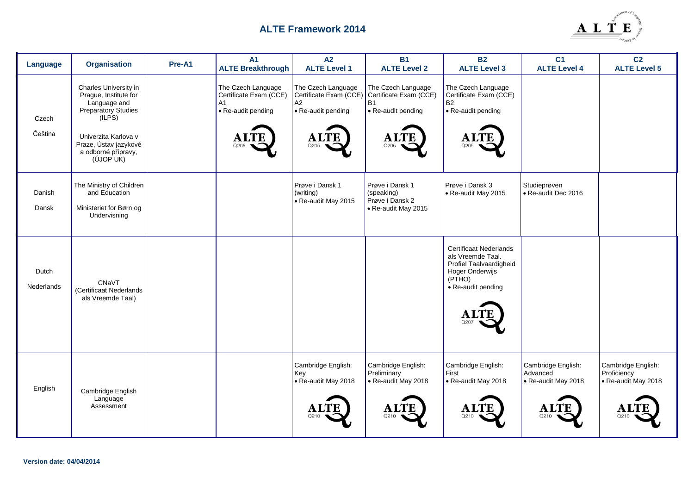

| Language            | <b>Organisation</b>                                                                                                                                                                  | Pre-A1 | <b>A1</b><br><b>ALTE Breakthrough</b>                                            | A2<br><b>ALTE Level 1</b>                                                              | <b>B1</b><br><b>ALTE Level 2</b>                                                             | <b>B2</b><br><b>ALTE Level 3</b>                                                                                          | C <sub>1</sub><br><b>ALTE Level 4</b>                 | C <sub>2</sub><br><b>ALTE Level 5</b>                    |
|---------------------|--------------------------------------------------------------------------------------------------------------------------------------------------------------------------------------|--------|----------------------------------------------------------------------------------|----------------------------------------------------------------------------------------|----------------------------------------------------------------------------------------------|---------------------------------------------------------------------------------------------------------------------------|-------------------------------------------------------|----------------------------------------------------------|
| Czech<br>Čeština    | Charles University in<br>Prague, Institute for<br>Language and<br>Preparatory Studies<br>(ILPS)<br>Univerzita Karlova v<br>Praze, Ústav jazykové<br>a odborné přípravy,<br>(ÚJOP UK) |        | The Czech Language<br>Certificate Exam (CCE)<br>A1<br>• Re-audit pending<br>O205 | The Czech Language<br>Certificate Exam (CCE)<br>A2<br>• Re-audit pending<br>A1<br>Q205 | The Czech Language<br>Certificate Exam (CCE)<br><b>B1</b><br>• Re-audit pending<br>A<br>Q205 | The Czech Language<br>Certificate Exam (CCE)<br><b>B2</b><br>• Re-audit pending<br>Q205                                   |                                                       |                                                          |
| Danish<br>Dansk     | The Ministry of Children<br>and Education<br>Ministeriet for Børn og<br>Undervisning                                                                                                 |        |                                                                                  | Prøve i Dansk 1<br>(writing)<br>• Re-audit May 2015                                    | Prøve i Dansk 1<br>(speaking)<br>Prøve i Dansk 2<br>• Re-audit May 2015                      | Prøve i Dansk 3<br>• Re-audit May 2015                                                                                    | Studieprøven<br>• Re-audit Dec 2016                   |                                                          |
| Dutch<br>Nederlands | CNaVT<br>(Certificaat Nederlands<br>als Vreemde Taal)                                                                                                                                |        |                                                                                  |                                                                                        |                                                                                              | Certificaat Nederlands<br>als Vreemde Taal.<br>Profiel Taalvaardigheid<br>Hoger Onderwijs<br>(PTHO)<br>• Re-audit pending |                                                       |                                                          |
| English             | Cambridge English<br>Language<br>Assessment                                                                                                                                          |        |                                                                                  | Cambridge English:<br>Key<br>• Re-audit May 2018                                       | Cambridge English:<br>Preliminary<br>• Re-audit May 2018<br>Q210                             | Cambridge English:<br>First<br>• Re-audit May 2018<br>0210                                                                | Cambridge English:<br>Advanced<br>• Re-audit May 2018 | Cambridge English:<br>Proficiency<br>• Re-audit May 2018 |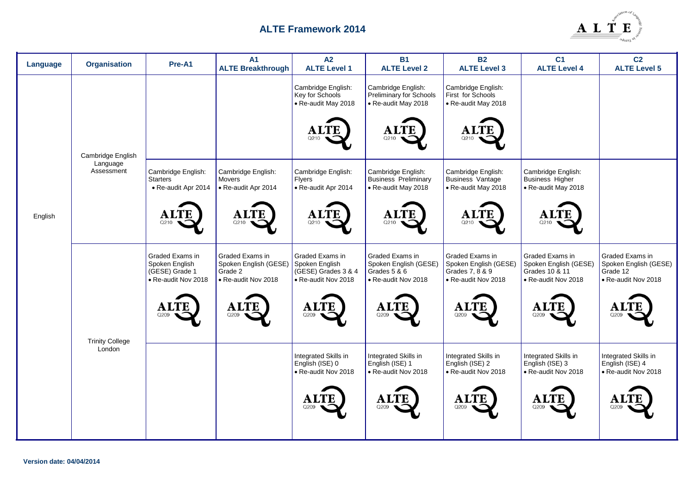

| Language | <b>Organisation</b>              | Pre-A1                                                                                   | <b>A1</b><br><b>ALTE Breakthrough</b>                                                    | A2<br><b>ALTE Level 1</b>                                                                      | <b>B1</b><br><b>ALTE Level 2</b>                                                                      | <b>B2</b><br><b>ALTE Level 3</b>                                                                 | C <sub>1</sub><br><b>ALTE Level 4</b>                                                          | C <sub>2</sub><br><b>ALTE Level 5</b>                                               |
|----------|----------------------------------|------------------------------------------------------------------------------------------|------------------------------------------------------------------------------------------|------------------------------------------------------------------------------------------------|-------------------------------------------------------------------------------------------------------|--------------------------------------------------------------------------------------------------|------------------------------------------------------------------------------------------------|-------------------------------------------------------------------------------------|
|          | Cambridge English                |                                                                                          |                                                                                          | Cambridge English:<br>Key for Schools<br>• Re-audit May 2018<br>Al<br>O210                     | Cambridge English:<br>Preliminary for Schools<br>• Re-audit May 2018<br>Al<br>Q210                    | Cambridge English:<br>First for Schools<br>• Re-audit May 2018<br>A)<br>Q210                     |                                                                                                |                                                                                     |
| English  | Language<br>Assessment           | Cambridge English:<br><b>Starters</b><br>• Re-audit Apr 2014<br>O210                     | Cambridge English:<br><b>Movers</b><br>• Re-audit Apr 2014<br>Q210                       | Cambridge English:<br>Flyers<br>• Re-audit Apr 2014<br><b>ALTE</b><br>Q210                     | Cambridge English:<br>Business Preliminary<br>• Re-audit May 2018<br><b>ALTE</b><br>Q21C              | Cambridge English:<br>Business Vantage<br>• Re-audit May 2018<br><b>ALTE</b><br>O210             | Cambridge English:<br>Business Higher<br>• Re-audit May 2018<br>Q210                           |                                                                                     |
|          |                                  | Graded Exams in<br>Spoken English<br>(GESE) Grade 1<br>• Re-audit Nov 2018<br>A.<br>Q209 | Graded Exams in<br>Spoken English (GESE)<br>Grade 2<br>• Re-audit Nov 2018<br>Al<br>Q209 | Graded Exams in<br>Spoken English<br>(GESE) Grades 3 & 4<br>• Re-audit Nov 2018<br>ALT<br>Q209 | Graded Exams in<br>Spoken English (GESE)<br>Grades 5 & 6<br>• Re-audit Nov 2018<br>${\bf AL}$<br>Q209 | Graded Exams in<br>Spoken English (GESE)<br>Grades 7, 8 & 9<br>• Re-audit Nov 2018<br>Αl<br>Q209 | Graded Exams in<br>Spoken English (GESE)<br>Grades 10 & 11<br>• Re-audit Nov 2018<br>A<br>Q209 | Graded Exams in<br>Spoken English (GESE)<br>Grade 12<br>• Re-audit Nov 2018<br>Q209 |
|          | <b>Trinity College</b><br>London |                                                                                          |                                                                                          | Integrated Skills in<br>English (ISE) 0<br>• Re-audit Nov 2018<br>Q209                         | Integrated Skills in<br>English (ISE) 1<br>• Re-audit Nov 2018<br><b>ALTE</b><br>Q209                 | Integrated Skills in<br>English (ISE) 2<br>• Re-audit Nov 2018<br><b>ALTE</b><br>Q209            | Integrated Skills in<br>English (ISE) 3<br>• Re-audit Nov 2018<br><b>ALTE</b><br>Q209          | Integrated Skills in<br>English (ISE) 4<br>• Re-audit Nov 2018<br>Q209              |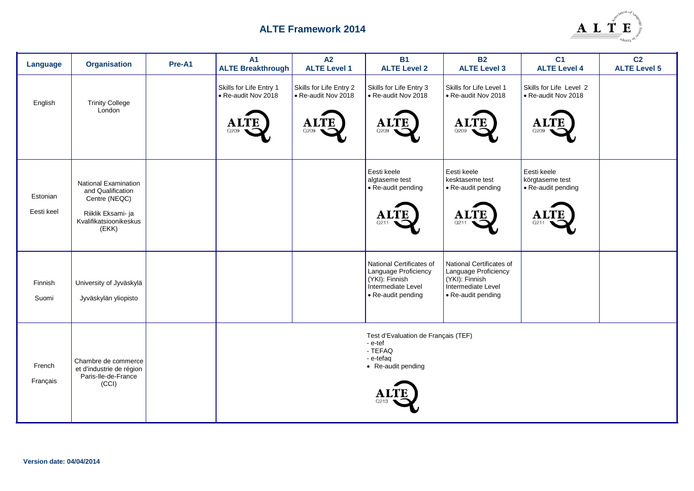

| Language               | <b>Organisation</b>                                                                                                        | Pre-A1 | <b>A1</b><br><b>ALTE Breakthrough</b>                                 | A2<br><b>ALTE Level 1</b>                                          | <b>B1</b><br><b>ALTE Level 2</b>                                                                               | <b>B2</b><br><b>ALTE Level 3</b>                                                                               | C <sub>1</sub><br><b>ALTE Level 4</b>                            | C <sub>2</sub><br><b>ALTE Level 5</b> |
|------------------------|----------------------------------------------------------------------------------------------------------------------------|--------|-----------------------------------------------------------------------|--------------------------------------------------------------------|----------------------------------------------------------------------------------------------------------------|----------------------------------------------------------------------------------------------------------------|------------------------------------------------------------------|---------------------------------------|
| English                | <b>Trinity College</b><br>London                                                                                           |        | Skills for Life Entry 1<br>• Re-audit Nov 2018<br><b>ALTE</b><br>Q209 | Skills for Life Entry 2<br>• Re-audit Nov 2018<br>ÆЕ<br>AL<br>Q209 | Skills for Life Entry 3<br>• Re-audit Nov 2018<br><b>ALTE</b><br>Q209                                          | Skills for Life Level 1<br>• Re-audit Nov 2018<br><b>ALTE</b><br>Q209                                          | Skills for Life Level 2<br>• Re-audit Nov 2018<br>A.<br>Q209     |                                       |
| Estonian<br>Eesti keel | <b>National Examination</b><br>and Qualification<br>Centre (NEQC)<br>Riiklik Eksami- ja<br>Kvalifikatsioonikeskus<br>(EKK) |        |                                                                       |                                                                    | Eesti keele<br>algtaseme test<br>• Re-audit pending<br><b>ALTF</b><br>O21                                      | Eesti keele<br>kesktaseme test<br>• Re-audit pending<br><b>ALTE</b><br>Q211                                    | Eesti keele<br>körgtaseme test<br>• Re-audit pending<br>A<br>Q21 |                                       |
| Finnish<br>Suomi       | University of Jyväskylä<br>Jyväskylän yliopisto                                                                            |        |                                                                       |                                                                    | National Certificates of<br>Language Proficiency<br>(YKI): Finnish<br>Intermediate Level<br>• Re-audit pending | National Certificates of<br>Language Proficiency<br>(YKI): Finnish<br>Intermediate Level<br>• Re-audit pending |                                                                  |                                       |
| French<br>Français     | Chambre de commerce<br>et d'industrie de région<br>Paris-Ile-de-France<br>(CCI)                                            |        |                                                                       |                                                                    | Test d'Evaluation de Français (TEF)<br>- e-tef<br>- TEFAQ<br>- e-tefaq<br>• Re-audit pending                   |                                                                                                                |                                                                  |                                       |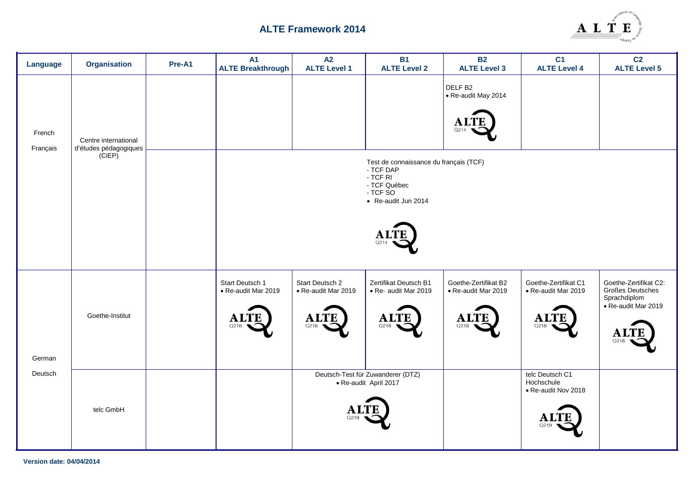

| Language           | <b>Organisation</b>             | Pre-A1 | <b>A1</b><br><b>ALTE Breakthrough</b>  | A2<br><b>ALTE Level 1</b>              | <b>B1</b><br><b>ALTE Level 2</b>                                                                                   | <b>B2</b><br><b>ALTE Level 3</b>            | C <sub>1</sub><br><b>ALTE Level 4</b>                | C <sub>2</sub><br><b>ALTE Level 5</b>                            |
|--------------------|---------------------------------|--------|----------------------------------------|----------------------------------------|--------------------------------------------------------------------------------------------------------------------|---------------------------------------------|------------------------------------------------------|------------------------------------------------------------------|
| French<br>Français | Centre international            |        |                                        |                                        |                                                                                                                    | DELF <sub>B2</sub><br>• Re-audit May 2014   |                                                      |                                                                  |
|                    | d'études pédagogiques<br>(CiEP) |        |                                        |                                        | Test de connaissance du français (TCF)<br>- TCF DAP<br>- TCF RI<br>- TCF Québec<br>- TCF SO<br>• Re-audit Jun 2014 |                                             |                                                      |                                                                  |
|                    |                                 |        | Start Deutsch 1<br>• Re-audit Mar 2019 | Start Deutsch 2<br>• Re-audit Mar 2019 | Zertifikat Deutsch B1<br>· Re- audit Mar 2019                                                                      | Goethe-Zertifikat B2<br>• Re-audit Mar 2019 | Goethe-Zertifikat C1<br>• Re-audit Mar 2019          | Goethe-Zertifikat C2:<br><b>Großes Deutsches</b><br>Sprachdiplom |
| German             | Goethe-Institut                 |        | A<br>Q218                              | $\mathbf{A}$<br>Q218                   | <b>ALTE</b><br>Q218                                                                                                | A.<br>Q218                                  | A<br>O2                                              | · Re-audit Mar 2019<br>Q218                                      |
| Deutsch            | telc GmbH                       |        |                                        |                                        | Deutsch-Test für Zuwanderer (DTZ)<br>• Re-audit April 2017                                                         |                                             | telc Deutsch C1<br>Hochschule<br>• Re-audit Nov 2018 |                                                                  |

**Version date: 04/04/2014**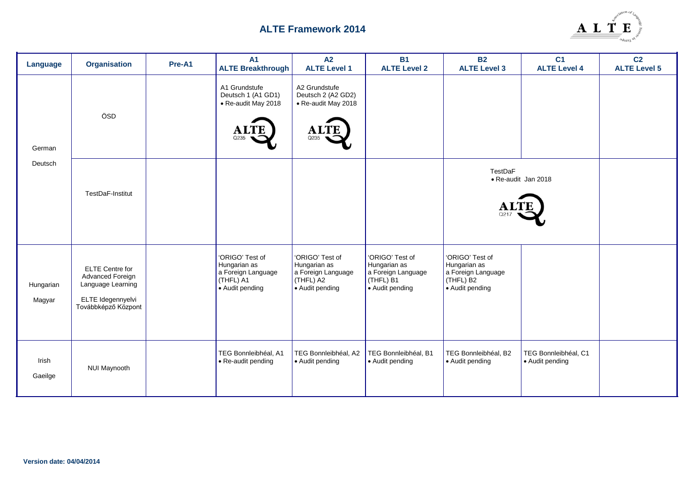

| Language            | <b>Organisation</b>                                                                                         | Pre-A1 | A <sub>1</sub><br><b>ALTE Breakthrough</b>                                            | A2<br><b>ALTE Level 1</b>                                                             | <b>B1</b><br><b>ALTE Level 2</b>                                                      | <b>B2</b><br><b>ALTE Level 3</b>                                                                  | C <sub>1</sub><br><b>ALTE Level 4</b>   | C <sub>2</sub><br><b>ALTE Level 5</b> |
|---------------------|-------------------------------------------------------------------------------------------------------------|--------|---------------------------------------------------------------------------------------|---------------------------------------------------------------------------------------|---------------------------------------------------------------------------------------|---------------------------------------------------------------------------------------------------|-----------------------------------------|---------------------------------------|
| German              | ÖSD                                                                                                         |        | A1 Grundstufe<br>Deutsch 1 (A1 GD1)<br>• Re-audit May 2018                            | A2 Grundstufe<br>Deutsch 2 (A2 GD2)<br>• Re-audit May 2018<br>Q235                    |                                                                                       |                                                                                                   |                                         |                                       |
| Deutsch             | TestDaF-Institut                                                                                            |        |                                                                                       |                                                                                       |                                                                                       | <b>TestDaF</b>                                                                                    | • Re-audit Jan 2018                     |                                       |
| Hungarian<br>Magyar | <b>ELTE</b> Centre for<br>Advanced Foreign<br>Language Learning<br>ELTE Idegennyelvi<br>Továbbképző Központ |        | 'ORIGO' Test of<br>Hungarian as<br>a Foreign Language<br>(THFL) A1<br>• Audit pending | 'ORIGO' Test of<br>Hungarian as<br>a Foreign Language<br>(THFL) A2<br>• Audit pending | 'ORIGO' Test of<br>Hungarian as<br>a Foreign Language<br>(THFL) B1<br>• Audit pending | 'ORIGO' Test of<br>Hungarian as<br>a Foreign Language<br>(THFL) B <sub>2</sub><br>• Audit pending |                                         |                                       |
| Irish<br>Gaeilge    | <b>NUI Maynooth</b>                                                                                         |        | TEG Bonnleibhéal, A1<br>• Re-audit pending                                            | TEG Bonnleibhéal, A2<br>• Audit pending                                               | TEG Bonnleibhéal, B1<br>• Audit pending                                               | TEG Bonnleibhéal, B2<br>• Audit pending                                                           | TEG Bonnleibhéal, C1<br>• Audit pending |                                       |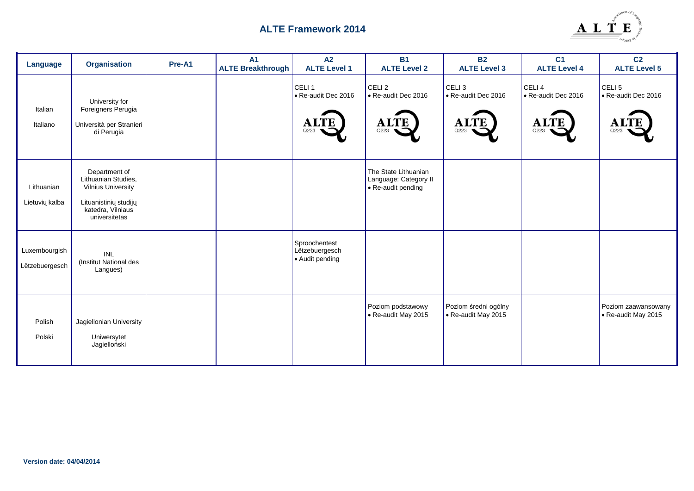

| Language                        | <b>Organisation</b>                                                                                                              | Pre-A1 | <b>A1</b><br><b>ALTE Breakthrough</b> | A2<br><b>ALTE Level 1</b>                              | <b>B1</b><br><b>ALTE Level 2</b>                                    | <b>B2</b><br><b>ALTE Level 3</b>                             | C <sub>1</sub><br><b>ALTE Level 4</b>                           | C <sub>2</sub><br><b>ALTE Level 5</b>            |
|---------------------------------|----------------------------------------------------------------------------------------------------------------------------------|--------|---------------------------------------|--------------------------------------------------------|---------------------------------------------------------------------|--------------------------------------------------------------|-----------------------------------------------------------------|--------------------------------------------------|
| Italian<br>Italiano             | University for<br>Foreigners Perugia<br>Università per Stranieri<br>di Perugia                                                   |        |                                       | CELI <sub>1</sub><br>• Re-audit Dec 2016<br>Αl<br>Q223 | CELI <sub>2</sub><br>• Re-audit Dec 2016<br>Al<br>Q223              | CELI <sub>3</sub><br>• Re-audit Dec 2016<br>ÆЕ<br>AL<br>Q223 | CELI <sub>4</sub><br>• Re-audit Dec 2016<br><b>ALTE</b><br>Q223 | CELI <sub>5</sub><br>• Re-audit Dec 2016<br>Q223 |
| Lithuanian<br>Lietuvių kalba    | Department of<br>Lithuanian Studies,<br><b>Vilnius University</b><br>Lituanistinių studijų<br>katedra, Vilniaus<br>universitetas |        |                                       |                                                        | The State Lithuanian<br>Language: Category II<br>• Re-audit pending |                                                              |                                                                 |                                                  |
| Luxembourgish<br>Lëtzebuergesch | <b>INL</b><br>(Institut National des<br>Langues)                                                                                 |        |                                       | Sproochentest<br>Lëtzebuergesch<br>• Audit pending     |                                                                     |                                                              |                                                                 |                                                  |
| Polish<br>Polski                | Jagiellonian University<br>Uniwersytet<br>Jagielloński                                                                           |        |                                       |                                                        | Poziom podstawowy<br>• Re-audit May 2015                            | Poziom średni ogólny<br>• Re-audit May 2015                  |                                                                 | Poziom zaawansowany<br>• Re-audit May 2015       |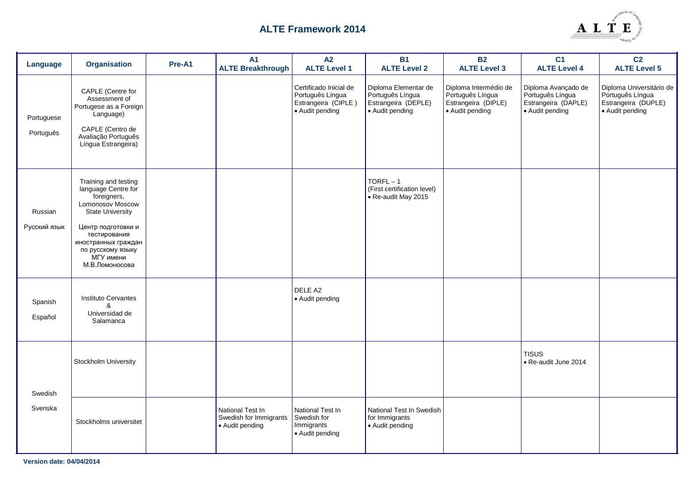

| Language                | <b>Organisation</b>                                                                                                                                                                                                        | Pre-A1 | <b>A1</b><br><b>ALTE Breakthrough</b>                         | A2<br><b>ALTE Level 1</b>                                                            | <b>B1</b><br><b>ALTE Level 2</b>                                                   | <b>B2</b><br><b>ALTE Level 3</b>                                                    | C <sub>1</sub><br><b>ALTE Level 4</b>                                             | C <sub>2</sub><br><b>ALTE Level 5</b>                                                  |
|-------------------------|----------------------------------------------------------------------------------------------------------------------------------------------------------------------------------------------------------------------------|--------|---------------------------------------------------------------|--------------------------------------------------------------------------------------|------------------------------------------------------------------------------------|-------------------------------------------------------------------------------------|-----------------------------------------------------------------------------------|----------------------------------------------------------------------------------------|
| Portuguese<br>Português | CAPLE (Centre for<br>Assessment of<br>Portugese as a Foreign<br>Language)<br>CAPLE (Centro de<br>Avaliação Português<br>Língua Estrangeira)                                                                                |        |                                                               | Certificado Inicial de<br>Português Língua<br>Estrangeira (CIPLE)<br>• Audit pending | Diploma Elementar de<br>Português Língua<br>Estrangeira (DEPLE)<br>• Audit pending | Diploma Intermédio de<br>Português Língua<br>Estrangeira (DIPLE)<br>• Audit pending | Diploma Avançado de<br>Português Língua<br>Estrangeira (DAPLE)<br>• Audit pending | Diploma Universitário de<br>Português Língua<br>Estrangeira (DUPLE)<br>• Audit pending |
| Russian<br>Русский язык | Training and testing<br>language Centre for<br>foreigners,<br>Lomonosov Moscow<br><b>State University</b><br>Центр подготовки и<br>тестирования<br>иностранных граждан<br>по русскому языку<br>МГУ имени<br>М.В.Ломоносова |        |                                                               |                                                                                      | $TORFL-1$<br>(First certification level)<br>• Re-audit May 2015                    |                                                                                     |                                                                                   |                                                                                        |
| Spanish<br>Español      | Instituto Cervantes<br>&<br>Universidad de<br>Salamanca                                                                                                                                                                    |        |                                                               | DELE A2<br>• Audit pending                                                           |                                                                                    |                                                                                     |                                                                                   |                                                                                        |
| Swedish                 | Stockholm University                                                                                                                                                                                                       |        |                                                               |                                                                                      |                                                                                    |                                                                                     | <b>TISUS</b><br>• Re-audit June 2014                                              |                                                                                        |
| Svenska                 | Stockholms universitet                                                                                                                                                                                                     |        | National Test In<br>Swedish for Immigrants<br>• Audit pending | National Test In<br>Swedish for<br>Immigrants<br>• Audit pending                     | National Test In Swedish<br>for Immigrants<br>• Audit pending                      |                                                                                     |                                                                                   |                                                                                        |

**Version date: 04/04/2014**